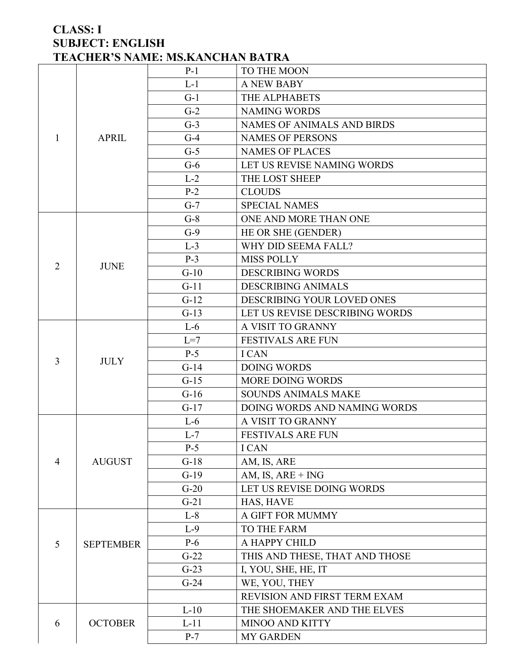### **CLASS: I SUBJECT: ENGLISH TEACHER'S NAME: MS.KANCHAN BATRA**

|                |                  | $P-1$  | TO THE MOON                       |
|----------------|------------------|--------|-----------------------------------|
|                |                  | $L-1$  | <b>A NEW BABY</b>                 |
|                |                  | $G-1$  | THE ALPHABETS                     |
|                |                  | $G-2$  | <b>NAMING WORDS</b>               |
|                |                  | $G-3$  | <b>NAMES OF ANIMALS AND BIRDS</b> |
| 1              | <b>APRIL</b>     | $G-4$  | <b>NAMES OF PERSONS</b>           |
|                |                  | $G-5$  | <b>NAMES OF PLACES</b>            |
|                |                  | $G-6$  | LET US REVISE NAMING WORDS        |
|                |                  | $L-2$  | THE LOST SHEEP                    |
|                |                  | $P-2$  | <b>CLOUDS</b>                     |
|                |                  | $G-7$  | <b>SPECIAL NAMES</b>              |
|                |                  | $G-8$  | ONE AND MORE THAN ONE             |
|                |                  | $G-9$  | HE OR SHE (GENDER)                |
|                |                  | $L-3$  | WHY DID SEEMA FALL?               |
| $\overline{2}$ | <b>JUNE</b>      | $P-3$  | <b>MISS POLLY</b>                 |
|                |                  | $G-10$ | <b>DESCRIBING WORDS</b>           |
|                |                  | $G-11$ | <b>DESCRIBING ANIMALS</b>         |
|                |                  | $G-12$ | DESCRIBING YOUR LOVED ONES        |
|                |                  | $G-13$ | LET US REVISE DESCRIBING WORDS    |
|                |                  | $L-6$  | A VISIT TO GRANNY                 |
|                |                  | $L=7$  | <b>FESTIVALS ARE FUN</b>          |
| $\overline{3}$ | <b>JULY</b>      | $P-5$  | <b>ICAN</b>                       |
|                |                  | $G-14$ | <b>DOING WORDS</b>                |
|                |                  | $G-15$ | MORE DOING WORDS                  |
|                |                  | $G-16$ | <b>SOUNDS ANIMALS MAKE</b>        |
|                |                  | $G-17$ | DOING WORDS AND NAMING WORDS      |
|                |                  | $L-6$  | A VISIT TO GRANNY                 |
|                |                  | $L-7$  | <b>FESTIVALS ARE FUN</b>          |
|                |                  | $P-5$  | <b>ICAN</b>                       |
| 4              | <b>AUGUST</b>    | $G-18$ | AM, IS, ARE                       |
|                |                  | $G-19$ | AM, IS, $ARE + ING$               |
|                |                  | $G-20$ | LET US REVISE DOING WORDS         |
|                |                  | $G-21$ | HAS, HAVE                         |
|                |                  | $L-8$  | A GIFT FOR MUMMY                  |
|                |                  | $L-9$  | <b>TO THE FARM</b>                |
| 5              | <b>SEPTEMBER</b> | $P-6$  | A HAPPY CHILD                     |
|                |                  | $G-22$ | THIS AND THESE, THAT AND THOSE    |
|                |                  | $G-23$ | I, YOU, SHE, HE, IT               |
|                |                  | $G-24$ | WE, YOU, THEY                     |
|                |                  |        | REVISION AND FIRST TERM EXAM      |
|                |                  | $L-10$ | THE SHOEMAKER AND THE ELVES       |
| 6              | <b>OCTOBER</b>   | $L-11$ | <b>MINOO AND KITTY</b>            |
|                |                  | $P-7$  | <b>MY GARDEN</b>                  |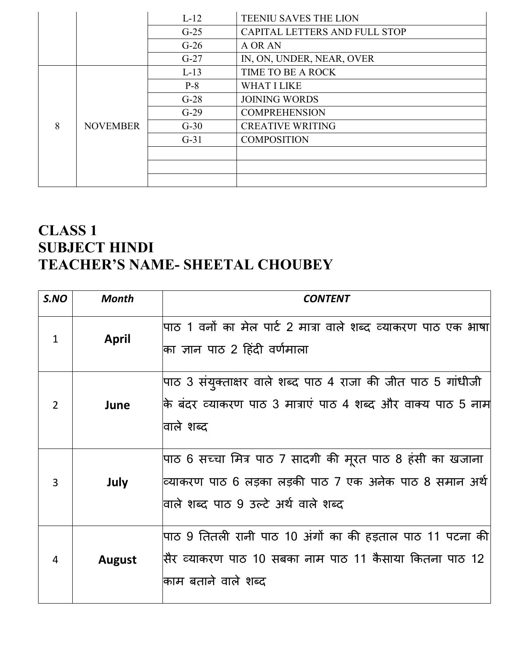|   |                 | $L-12$ | <b>TEENIU SAVES THE LION</b>  |
|---|-----------------|--------|-------------------------------|
|   |                 | $G-25$ | CAPITAL LETTERS AND FULL STOP |
|   |                 | $G-26$ | A OR AN                       |
|   |                 | $G-27$ | IN, ON, UNDER, NEAR, OVER     |
|   |                 | $L-13$ | TIME TO BE A ROCK             |
|   |                 | $P-8$  | <b>WHAT I LIKE</b>            |
|   |                 | $G-28$ | <b>JOINING WORDS</b>          |
|   |                 | $G-29$ | <b>COMPREHENSION</b>          |
| 8 | <b>NOVEMBER</b> | $G-30$ | <b>CREATIVE WRITING</b>       |
|   |                 | $G-31$ | <b>COMPOSITION</b>            |
|   |                 |        |                               |
|   |                 |        |                               |
|   |                 |        |                               |

# **CLASS 1 SUBJECT HINDI TEACHER'S NAME- SHEETAL CHOUBEY**

| S.NO           | <b>Month</b>  | <b>CONTENT</b>                                                                                                                                               |
|----------------|---------------|--------------------------------------------------------------------------------------------------------------------------------------------------------------|
| $\mathbf{1}$   | <b>April</b>  | पाठ 1 वनों का मेल पार्ट 2 मात्रा वाले शब्द व्याकरण पाठ एक भाषा <br>का ज्ञान पाठ 2 हिंदी वर्णमाला                                                             |
| 2              | June          | पाठ 3 संयुक्ताक्षर वाले शब्द पाठ 4 राजा की जीत पाठ 5 गांधीजी<br>कि बंदर व्याकरण पाठ 3 मात्राएं पाठ 4 शब्द और वाक्य पाठ 5 नाम<br>वाले शब्द                    |
| 3              | July          | पाठ 6 सच्चा मित्र पाठ 7 सादगी की मूरत पाठ 8 हंसी का खजाना<br>व्याकरण पाठ 6 लड़का लड़की पाठ 7 एक अनेक पाठ 8 समान अर्थ<br>वाले शब्द पाठ 9 उल्टे अर्थ वाले शब्द |
| $\overline{4}$ | <b>August</b> | पाठ 9 तितली रानी पाठ 10 अंगों का की हड़ताल पाठ 11 पटना की<br>सिर व्याकरण पाठ 10 सबका नाम पाठ 11 कैसाया कितना पाठ 12<br>काम बताने वाले शब्द                   |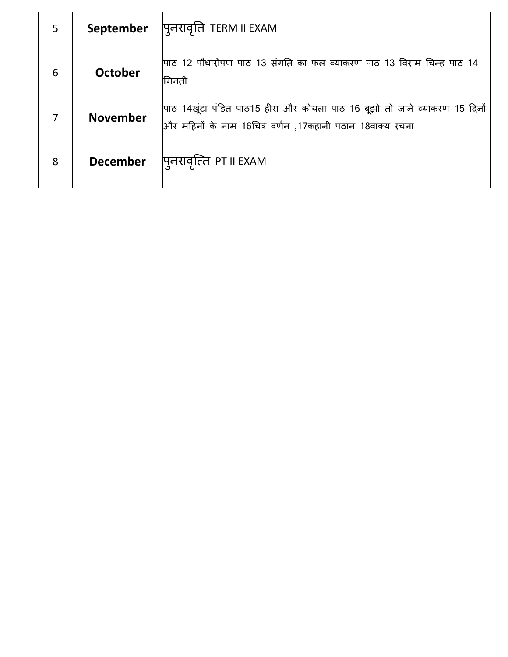| 5 | September       | पुनरावृति TERM II EXAM                                                                                                                  |
|---|-----------------|-----------------------------------------------------------------------------------------------------------------------------------------|
| 6 | October         | पाठ 12 पौधारोपण पाठ 13 संगति का फल व्याकरण पाठ 13 विराम चिन्ह पाठ 14<br>गिनती                                                           |
|   | <b>November</b> | पाठ 14खूंटा पंडित पाठ15 हीरा और कोयला पाठ 16 बूझो तो जाने व्याकरण 15 दिनों<br>और महिनों के नाम 16चित्र वर्णन ,17कहानी पठान 18वाक्य रचना |
| 8 | <b>December</b> | पुनरावृत्ति PT II EXAM                                                                                                                  |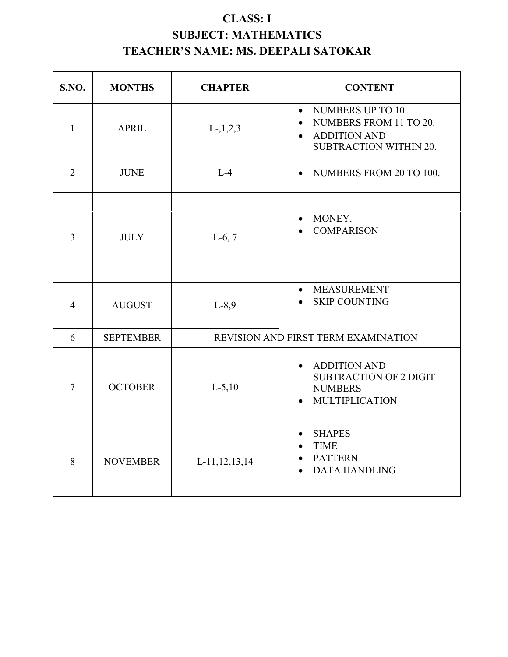## **CLASS: I SUBJECT: MATHEMATICS TEACHER'S NAME: MS. DEEPALI SATOKAR**

| S.NO.          | <b>MONTHS</b>    | <b>CHAPTER</b>   | <b>CONTENT</b>                                                                                                                      |
|----------------|------------------|------------------|-------------------------------------------------------------------------------------------------------------------------------------|
| $\mathbf{1}$   | <b>APRIL</b>     | $L-, 1, 2, 3$    | NUMBERS UP TO 10.<br>$\bullet$<br>NUMBERS FROM 11 TO 20.<br>$\bullet$<br><b>ADDITION AND</b><br>$\bullet$<br>SUBTRACTION WITHIN 20. |
| 2              | <b>JUNE</b>      | $L-4$            | NUMBERS FROM 20 TO 100.                                                                                                             |
| $\overline{3}$ | <b>JULY</b>      | $L-6, 7$         | MONEY.<br><b>COMPARISON</b>                                                                                                         |
| $\overline{4}$ | <b>AUGUST</b>    | $L-8,9$          | <b>MEASUREMENT</b><br>$\bullet$<br><b>SKIP COUNTING</b>                                                                             |
| 6              | <b>SEPTEMBER</b> |                  | REVISION AND FIRST TERM EXAMINATION                                                                                                 |
| $\overline{7}$ | <b>OCTOBER</b>   | $L-5,10$         | <b>ADDITION AND</b><br>$\bullet$<br><b>SUBTRACTION OF 2 DIGIT</b><br><b>NUMBERS</b><br><b>MULTIPLICATION</b>                        |
| 8              | <b>NOVEMBER</b>  | L-11, 12, 13, 14 | <b>SHAPES</b><br>$\bullet$<br><b>TIME</b><br>$\bullet$<br><b>PATTERN</b><br>$\bullet$<br><b>DATA HANDLING</b><br>$\bullet$          |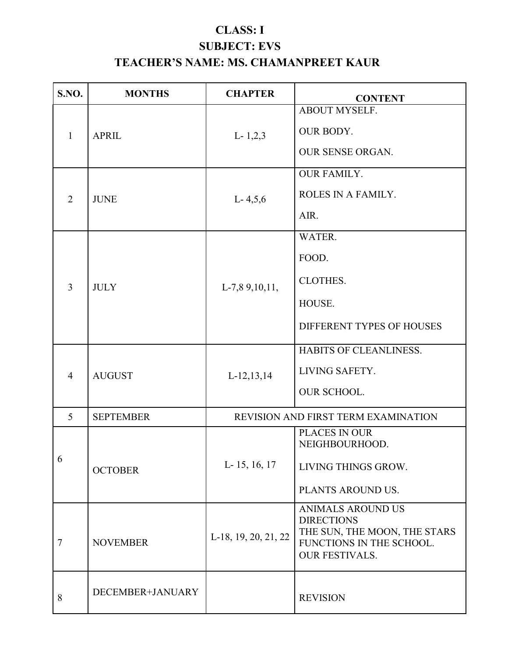## **CLASS: I SUBJECT: EVS TEACHER'S NAME: MS. CHAMANPREET KAUR**

| <b>S.NO.</b>   | <b>MONTHS</b>    | <b>CHAPTER</b>       | <b>CONTENT</b>                                                                                                                     |
|----------------|------------------|----------------------|------------------------------------------------------------------------------------------------------------------------------------|
| $\mathbf{1}$   | <b>APRIL</b>     | $L-1,2,3$            | <b>ABOUT MYSELF.</b><br>OUR BODY.<br><b>OUR SENSE ORGAN.</b>                                                                       |
| $\overline{2}$ | <b>JUNE</b>      | $L - 4, 5, 6$        | <b>OUR FAMILY.</b><br>ROLES IN A FAMILY.<br>AIR.                                                                                   |
| $\overline{3}$ | <b>JULY</b>      | $L-7,89,10,11,$      | WATER.<br>FOOD.<br><b>CLOTHES.</b><br>HOUSE.<br>DIFFERENT TYPES OF HOUSES                                                          |
| $\overline{4}$ | <b>AUGUST</b>    | $L-12, 13, 14$       | HABITS OF CLEANLINESS.<br>LIVING SAFETY.<br><b>OUR SCHOOL.</b>                                                                     |
| 5              | <b>SEPTEMBER</b> |                      | REVISION AND FIRST TERM EXAMINATION                                                                                                |
| 6              | <b>OCTOBER</b>   | L- 15, 16, 17        | PLACES IN OUR<br>NEIGHBOURHOOD.<br>LIVING THINGS GROW.<br>PLANTS AROUND US.                                                        |
| 7              | <b>NOVEMBER</b>  | L-18, 19, 20, 21, 22 | <b>ANIMALS AROUND US</b><br><b>DIRECTIONS</b><br>THE SUN, THE MOON, THE STARS<br>FUNCTIONS IN THE SCHOOL.<br><b>OUR FESTIVALS.</b> |
| 8              | DECEMBER+JANUARY |                      | <b>REVISION</b>                                                                                                                    |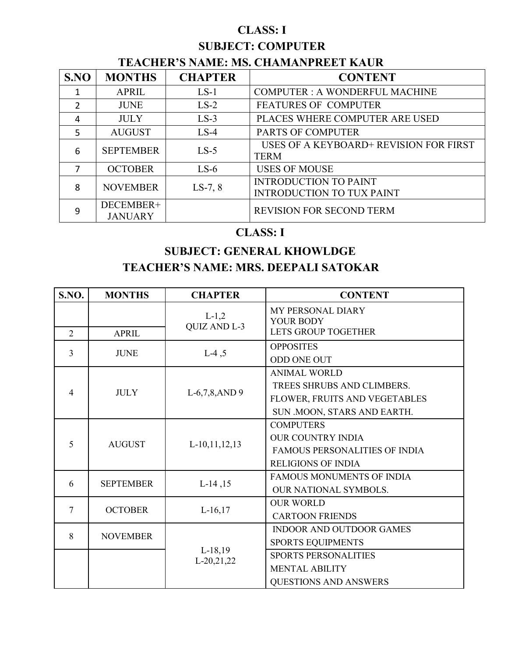## **CLASS: I**

## **SUBJECT: COMPUTER**

## **TEACHER'S NAME: MS. CHAMANPREET KAUR**

| SNO | <b>MONTHS</b>               | <b>CHAPTER</b> | <b>CONTENT</b>                                                   |
|-----|-----------------------------|----------------|------------------------------------------------------------------|
|     | <b>APRIL</b>                | $LS-1$         | <b>COMPUTER: A WONDERFUL MACHINE</b>                             |
| 2   | <b>JUNE</b>                 | $LS-2$         | <b>FEATURES OF COMPUTER</b>                                      |
| 4   | <b>JULY</b>                 | $LS-3$         | PLACES WHERE COMPUTER ARE USED                                   |
| 5   | <b>AUGUST</b>               | $LS-4$         | <b>PARTS OF COMPUTER</b>                                         |
| 6   | <b>SEPTEMBER</b>            | $LS-5$         | USES OF A KEYBOARD+ REVISION FOR FIRST<br><b>TERM</b>            |
| 7   | <b>OCTOBER</b>              | $LS-6$         | <b>USES OF MOUSE</b>                                             |
| 8   | <b>NOVEMBER</b>             | $LS-7, 8$      | <b>INTRODUCTION TO PAINT</b><br><b>INTRODUCTION TO TUX PAINT</b> |
| 9   | DECEMBER+<br><b>JANUARY</b> |                | <b>REVISION FOR SECOND TERM</b>                                  |

## **CLASS: I**

## **SUBJECT: GENERAL KHOWLDGE TEACHER'S NAME: MRS. DEEPALI SATOKAR**

| S.NO.          | <b>MONTHS</b>                                                                                                        | <b>CHAPTER</b>                                                                                         | <b>CONTENT</b>                       |
|----------------|----------------------------------------------------------------------------------------------------------------------|--------------------------------------------------------------------------------------------------------|--------------------------------------|
|                |                                                                                                                      | $L-1,2$                                                                                                | MY PERSONAL DIARY<br>YOUR BODY       |
| $\overline{2}$ |                                                                                                                      |                                                                                                        | LETS GROUP TOGETHER                  |
| $\overline{3}$ | <b>APRIL</b><br><b>JUNE</b><br><b>JULY</b><br><b>AUGUST</b><br><b>SEPTEMBER</b><br><b>OCTOBER</b><br><b>NOVEMBER</b> |                                                                                                        | <b>OPPOSITES</b>                     |
|                |                                                                                                                      |                                                                                                        | <b>ODD ONE OUT</b>                   |
|                |                                                                                                                      |                                                                                                        | <b>ANIMAL WORLD</b>                  |
|                |                                                                                                                      |                                                                                                        | TREES SHRUBS AND CLIMBERS.           |
| $\overline{4}$ |                                                                                                                      |                                                                                                        | FLOWER, FRUITS AND VEGETABLES        |
|                |                                                                                                                      |                                                                                                        | SUN .MOON, STARS AND EARTH.          |
|                |                                                                                                                      |                                                                                                        | <b>COMPUTERS</b>                     |
|                |                                                                                                                      |                                                                                                        | <b>OUR COUNTRY INDIA</b>             |
| 5              |                                                                                                                      | $L-10, 11, 12, 13$                                                                                     | <b>FAMOUS PERSONALITIES OF INDIA</b> |
|                |                                                                                                                      | <b>QUIZ AND L-3</b><br>$L-4, 5$<br>L-6,7,8,AND 9<br>$L-14, 15$<br>$L-16,17$<br>$L-18,19$<br>L-20,21,22 | <b>RELIGIONS OF INDIA</b>            |
|                |                                                                                                                      |                                                                                                        | <b>FAMOUS MONUMENTS OF INDIA</b>     |
| 6              |                                                                                                                      |                                                                                                        | OUR NATIONAL SYMBOLS.                |
| $\overline{7}$ |                                                                                                                      |                                                                                                        | <b>OUR WORLD</b>                     |
|                |                                                                                                                      |                                                                                                        | <b>CARTOON FRIENDS</b>               |
| 8              |                                                                                                                      |                                                                                                        | <b>INDOOR AND OUTDOOR GAMES</b>      |
|                |                                                                                                                      |                                                                                                        | <b>SPORTS EQUIPMENTS</b>             |
|                |                                                                                                                      |                                                                                                        | <b>SPORTS PERSONALITIES</b>          |
|                |                                                                                                                      |                                                                                                        | <b>MENTAL ABILITY</b>                |
|                |                                                                                                                      |                                                                                                        | <b>QUESTIONS AND ANSWERS</b>         |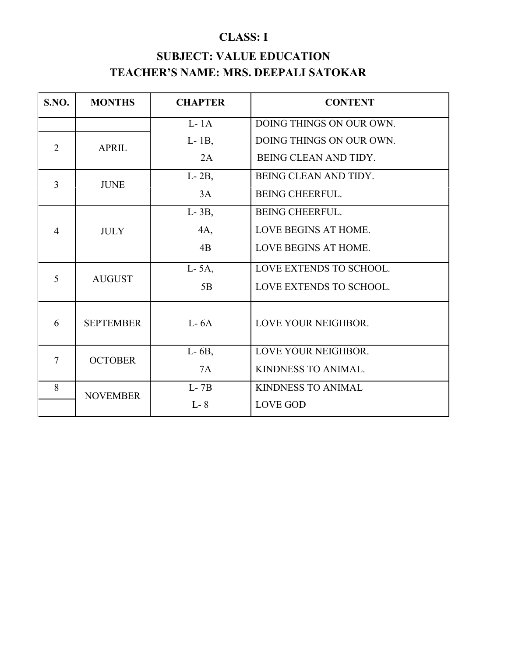# **CLASS: I SUBJECT: VALUE EDUCATION TEACHER'S NAME: MRS. DEEPALI SATOKAR**

| <b>S.NO.</b>   | <b>MONTHS</b>    | <b>CHAPTER</b> | <b>CONTENT</b>            |
|----------------|------------------|----------------|---------------------------|
|                |                  | $L-1A$         | DOING THINGS ON OUR OWN.  |
| $\overline{2}$ | <b>APRIL</b>     | $L-1B$ ,       | DOING THINGS ON OUR OWN.  |
|                |                  | 2A             | BEING CLEAN AND TIDY.     |
| 3              | <b>JUNE</b>      | $L-2B$ ,       | BEING CLEAN AND TIDY.     |
|                |                  | 3A             | <b>BEING CHEERFUL.</b>    |
|                |                  | $L-3B$ ,       | <b>BEING CHEERFUL.</b>    |
| $\overline{4}$ | <b>JULY</b>      | 4A,            | LOVE BEGINS AT HOME.      |
|                |                  | 4B             | LOVE BEGINS AT HOME.      |
|                |                  | $L-5A$ ,       | LOVE EXTENDS TO SCHOOL.   |
| 5              | <b>AUGUST</b>    | 5B             | LOVE EXTENDS TO SCHOOL.   |
|                |                  |                |                           |
| 6              | <b>SEPTEMBER</b> | $L-6A$         | LOVE YOUR NEIGHBOR.       |
| $\overline{7}$ |                  | $L-6B$ ,       | LOVE YOUR NEIGHBOR.       |
|                | <b>OCTOBER</b>   | 7A             | KINDNESS TO ANIMAL.       |
| 8              | <b>NOVEMBER</b>  | $L-7B$         | <b>KINDNESS TO ANIMAL</b> |
|                |                  | $L - 8$        | <b>LOVE GOD</b>           |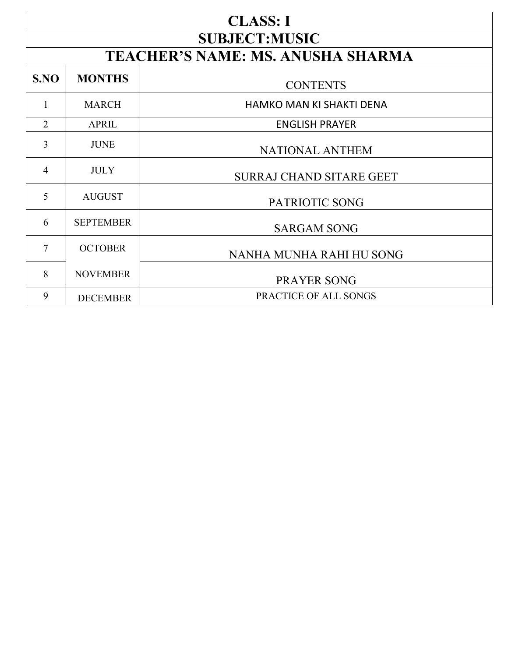|                | <b>CLASS: I</b><br><b>SUBJECT:MUSIC</b> |                                   |  |  |
|----------------|-----------------------------------------|-----------------------------------|--|--|
|                |                                         |                                   |  |  |
|                |                                         | TEACHER'S NAME: MS. ANUSHA SHARMA |  |  |
| S.NO           | <b>MONTHS</b>                           | <b>CONTENTS</b>                   |  |  |
| 1              | <b>MARCH</b>                            | <b>HAMKO MAN KI SHAKTI DENA</b>   |  |  |
| $\overline{2}$ | <b>APRIL</b>                            | <b>ENGLISH PRAYER</b>             |  |  |
| $\overline{3}$ | <b>JUNE</b>                             | <b>NATIONAL ANTHEM</b>            |  |  |
| $\overline{4}$ | <b>JULY</b>                             | <b>SURRAJ CHAND SITARE GEET</b>   |  |  |
| 5              | <b>AUGUST</b>                           | PATRIOTIC SONG                    |  |  |
| 6              | <b>SEPTEMBER</b>                        | <b>SARGAM SONG</b>                |  |  |
| $\overline{7}$ | <b>OCTOBER</b>                          | NANHA MUNHA RAHI HU SONG          |  |  |
| 8              | <b>NOVEMBER</b>                         | <b>PRAYER SONG</b>                |  |  |
| 9              | <b>DECEMBER</b>                         | PRACTICE OF ALL SONGS             |  |  |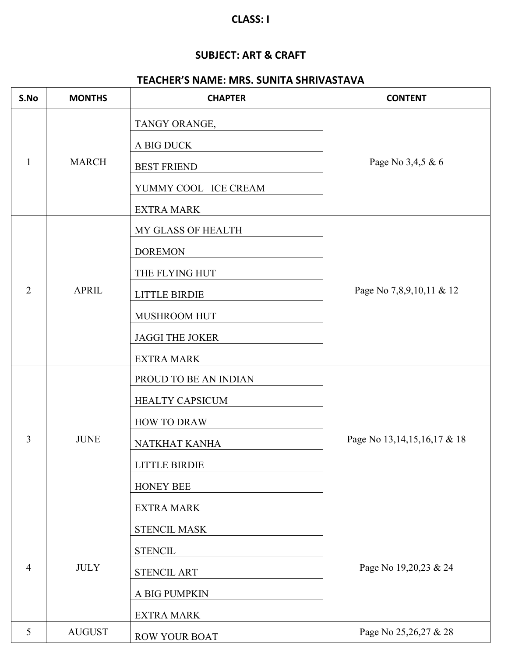#### **CLASS: I**

#### **SUBJECT: ART & CRAFT**

## **TEACHER'S NAME: MRS. SUNITA SHRIVASTAVA**

| S.No           | <b>MONTHS</b> | <b>CHAPTER</b>         | <b>CONTENT</b>                  |
|----------------|---------------|------------------------|---------------------------------|
|                |               | TANGY ORANGE,          |                                 |
|                |               | A BIG DUCK             |                                 |
| 1              | <b>MARCH</b>  | <b>BEST FRIEND</b>     | Page No 3,4,5 & 6               |
|                |               | YUMMY COOL - ICE CREAM |                                 |
|                |               | <b>EXTRA MARK</b>      |                                 |
|                |               | MY GLASS OF HEALTH     |                                 |
|                |               | <b>DOREMON</b>         |                                 |
|                |               | THE FLYING HUT         | Page No 7,8,9,10,11 & 12        |
| 2              | <b>APRIL</b>  | <b>LITTLE BIRDIE</b>   |                                 |
|                |               | MUSHROOM HUT           |                                 |
|                |               | <b>JAGGI THE JOKER</b> |                                 |
|                |               | <b>EXTRA MARK</b>      |                                 |
|                |               | PROUD TO BE AN INDIAN  |                                 |
|                |               | HEALTY CAPSICUM        |                                 |
|                |               | <b>HOW TO DRAW</b>     |                                 |
| 3              | <b>JUNE</b>   | NATKHAT KANHA          | Page No 13, 14, 15, 16, 17 & 18 |
|                |               | <b>LITTLE BIRDIE</b>   |                                 |
|                |               | <b>HONEY BEE</b>       |                                 |
|                |               | <b>EXTRA MARK</b>      |                                 |
|                |               | STENCIL MASK           |                                 |
|                |               | <b>STENCIL</b>         |                                 |
| $\overline{4}$ | <b>JULY</b>   | <b>STENCIL ART</b>     | Page No 19,20,23 & 24           |
|                |               | A BIG PUMPKIN          |                                 |
|                |               | <b>EXTRA MARK</b>      |                                 |
| 5              | <b>AUGUST</b> | ROW YOUR BOAT          | Page No 25,26,27 & 28           |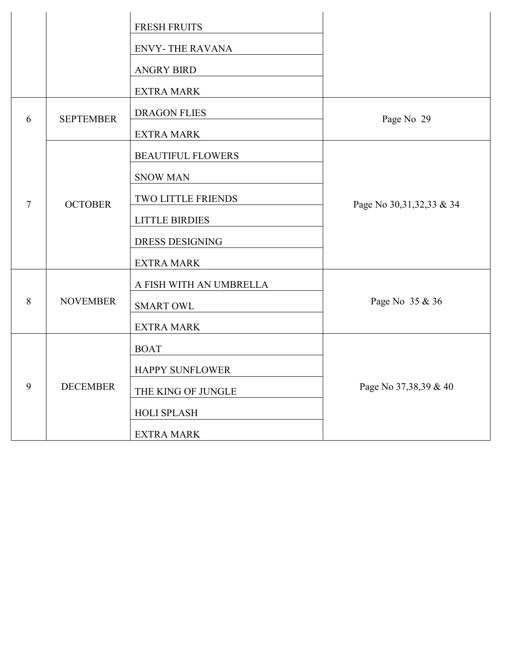|   |                  | <b>FRESH FRUITS</b>      |                             |
|---|------------------|--------------------------|-----------------------------|
|   |                  | <b>ENVY-THE RAVANA</b>   |                             |
|   |                  | <b>ANGRY BIRD</b>        |                             |
|   |                  | <b>EXTRA MARK</b>        |                             |
| 6 | <b>SEPTEMBER</b> | DRAGON FLIES             | Page No 29                  |
|   |                  | <b>EXTRA MARK</b>        |                             |
|   |                  | <b>BEAUTIFUL FLOWERS</b> |                             |
|   |                  | <b>SNOW MAN</b>          |                             |
| 7 | <b>OCTOBER</b>   | TWO LITTLE FRIENDS       | Page No 30, 31, 32, 33 & 34 |
|   |                  | <b>LITTLE BIRDIES</b>    |                             |
|   |                  | <b>DRESS DESIGNING</b>   |                             |
|   |                  | <b>EXTRA MARK</b>        |                             |
|   |                  | A FISH WITH AN UMBRELLA  |                             |
| 8 | <b>NOVEMBER</b>  | <b>SMART OWL</b>         | Page No 35 & 36             |
|   |                  | <b>EXTRA MARK</b>        |                             |
|   |                  | <b>BOAT</b>              |                             |
|   |                  | HAPPY SUNFLOWER          |                             |
| 9 | <b>DECEMBER</b>  | THE KING OF JUNGLE       | Page No 37,38,39 & 40       |
|   |                  | HOLI SPLASH              |                             |
|   |                  | <b>EXTRA MARK</b>        |                             |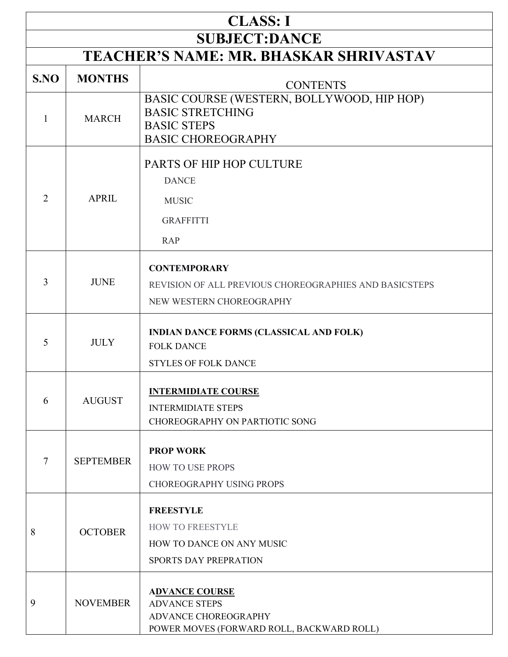| <b>CLASS: I</b>                               |                  |                                                                                                                          |  |
|-----------------------------------------------|------------------|--------------------------------------------------------------------------------------------------------------------------|--|
| <b>SUBJECT:DANCE</b>                          |                  |                                                                                                                          |  |
| <b>TEACHER'S NAME: MR. BHASKAR SHRIVASTAV</b> |                  |                                                                                                                          |  |
| S.NO                                          | <b>MONTHS</b>    | <b>CONTENTS</b>                                                                                                          |  |
| 1                                             | <b>MARCH</b>     | BASIC COURSE (WESTERN, BOLLYWOOD, HIP HOP)<br><b>BASIC STRETCHING</b><br><b>BASIC STEPS</b><br><b>BASIC CHOREOGRAPHY</b> |  |
| $\overline{2}$                                | <b>APRIL</b>     | PARTS OF HIP HOP CULTURE<br><b>DANCE</b><br><b>MUSIC</b>                                                                 |  |
|                                               |                  | <b>GRAFFITTI</b><br><b>RAP</b>                                                                                           |  |
| 3                                             | <b>JUNE</b>      | <b>CONTEMPORARY</b><br>REVISION OF ALL PREVIOUS CHOREOGRAPHIES AND BASICSTEPS<br>NEW WESTERN CHOREOGRAPHY                |  |
| 5                                             | <b>JULY</b>      | <b>INDIAN DANCE FORMS (CLASSICAL AND FOLK)</b><br><b>FOLK DANCE</b><br><b>STYLES OF FOLK DANCE</b>                       |  |
| 6                                             | <b>AUGUST</b>    | <b>INTERMIDIATE COURSE</b><br><b>INTERMIDIATE STEPS</b><br>CHOREOGRAPHY ON PARTIOTIC SONG                                |  |
| 7                                             | <b>SEPTEMBER</b> | <b>PROP WORK</b><br>HOW TO USE PROPS<br><b>CHOREOGRAPHY USING PROPS</b>                                                  |  |
| 8                                             | <b>OCTOBER</b>   | <b>FREESTYLE</b><br><b>HOW TO FREESTYLE</b><br>HOW TO DANCE ON ANY MUSIC<br>SPORTS DAY PREPRATION                        |  |
| 9                                             | <b>NOVEMBER</b>  | <b>ADVANCE COURSE</b><br><b>ADVANCE STEPS</b><br>ADVANCE CHOREOGRAPHY<br>POWER MOVES (FORWARD ROLL, BACKWARD ROLL)       |  |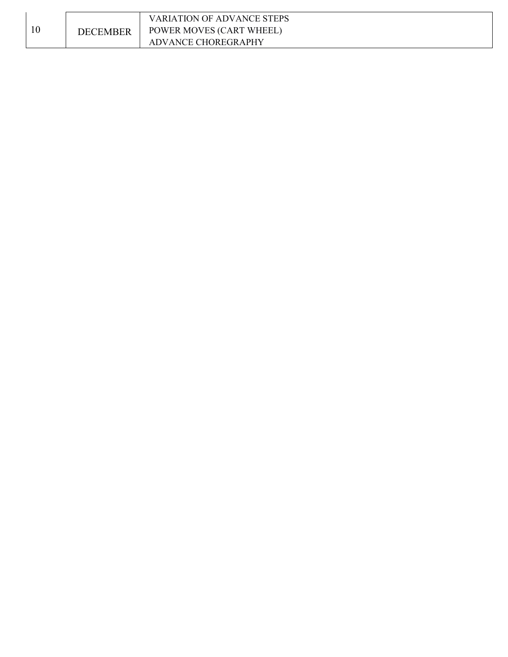|    |                 | VARIATION OF ADVANCE STEPS      |
|----|-----------------|---------------------------------|
| 10 | <b>DECEMBER</b> | <b>POWER MOVES (CART WHEEL)</b> |
|    |                 | <b>ADVANCE CHOREGRAPHY</b>      |